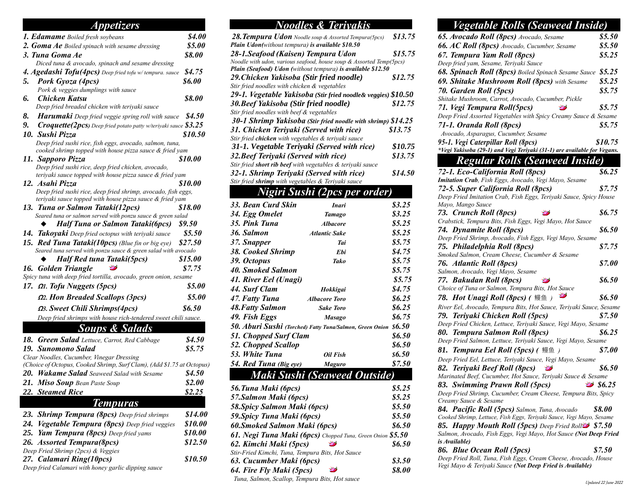#### *Appetizers 1. Edamame Boiled fresh soybeans \$4.00 2. Goma Ae Boiled spinach with sesame dressing \$5.00 3. Tuna Goma Ae \$8.00 Diced tuna & avocado, spinach and sesame dressing 4. Agedashi Tofu(4pcs) Deep fried tofu w/ tempura. sauce \$4.75 5. Pork Gyoza (4pcs) \$6.00 Pork & veggies dumplings with sauce 6. Chicken Katsu \$8.00 Deep fried breaded chicken with teriyaki sauce 8. Harumaki Deep fried veggie spring roll with sauce \$4.50 9. Croquette(2pcs) Deep fried potato patty w/teriyaki sauce \$3.25 10. Sushi Pizza \$10.50 Deep fried sushi rice, fish eggs, avocado, salmon, tuna, cooked shrimp topped with house pizza sauce & fried yam 11. Sapporo Pizza \$10.00 Deep fried sushi rice, deep fried chicken, avocado, teriyaki sauce topped with house pizza sauce & fried yam 12. Asahi Pizza \$10.00 Deep fried sushi rice, deep fried shrimp, avocado, fish eggs, teriyaki sauce topped with house pizza sauce & fried yam 13. Tuna or Salmon Tataki(12pcs) \$18.00 Seared tuna or salmon served with ponzu sauce & green salad* ◆ *Half Tuna or Salmon Tataki(6pcs) \$9.50 14. Takoyaki Deep fried octopus with teriyaki sauce \$5.50 15. Red Tuna Tataki(10pcs) (Blue fin or big eye) \$27.50 Seared tuna served with ponzu sauce & green salad with avocado* ◆ *Half Red tuna Tataki(5pcs) \$15.00 16. Golden Triangle \$7.75 Spicy tuna with deep fried tortilla, avocado, green onion, sesame 17.* **<sup>Ω</sup>***1. Tofu Nuggets (5pcs) \$5.00* **<sup>Ω</sup>***2. Hon Breaded Scallops (3pcs) \$5.00* **<sup>Ω</sup>***3. Sweet Chili Shrimps(4pcs) \$6.50 Deep fried shrimps with house rich-tendered sweet chili sauce. Soups & Salads 18. Green Salad Lettuce, Carrot, Red Cabbage \$4.50 19. Sunomono Salad \$5.75 Clear Noodles, Cucumber, Vinegar Dressing (Choice of Octopus, Cooked Shrimp, Surf Clam), (Add \$1.75 at Octopus) 20. Wakame Salad Seaweed Salad with Sesame \$4.50 21. Miso Soup Bean Paste Soup \$2.00 22. Steamed Rice \$2.25 Tempuras 23. Shrimp Tempura (8pcs) Deep fried shrimps \$14.00 24. Vegetable Tempura (8pcs) Deep fried veggies \$10.00 25. Yam Tempura (8pcs) Deep fried yams \$10.00 26. Assorted Tempura(8pcs) \$12.50 Deep Fried Shrimp (2pcs) & Veggies 27. Calamari Ring(10pcs) \$10.50 Deep fried Calamari with honey garlic dipping sauce*

*38. Cooked Shrimp Ebi \$4.75 39. Octopus Tako \$5.75 40. Smoked Salmon \$5.75 41. River Eel (Unagi) \$5.75 44. Surf Clam Hokkigai \$4.75 47. Fatty Tuna Albacore Toro \$6.25 48.Fatty Salmon Sake Toro \$6.25 49. Fish Eggs Masago \$6.75 50. Aburi Sushi (Torched) Fatty Tuna/Salmon, Green Onion \$6.50 51. Chopped Surf Clam \$6.50 52. Chopped Scallop \$6.50 53. White Tuna Oil Fish \$6.50 54. Red Tuna (Big eye) Maguro \$7.50 Maki Sushi (Seaweed Outside) 56.Tuna Maki (6pcs) \$5.25 57.Salmon Maki (6pcs) \$5.25 58.Spicy Salmon Maki (6pcs) \$5.50 59.Spicy Tuna Maki (6pcs) \$5.50 60.Smoked Salmon Maki (6pcs) \$6.50 61. Negi Tuna Maki (6pcs) Chopped Tuna, Green Onion \$5.50 62. Kimchi Maki (5pcs) \$6.50 Stir-Fried Kimchi, Tuna, Tempura Bits, Hot Sauce 63. Cucumber Maki (6pcs) \$3.50 64. Fire Fly Maki (5pcs) \$8.00 Tuna, Salmon, Scallop, Tempura Bits, Hot sauce*

*Noodles & Teriyakis 28.Tempura Udon Noodle soup & Assorted Tempura(5pcs) \$13.75*

*28-1.Seafood (Kaisen) Tempura Udon \$15.75 Noodle with udon, various seafood, house soup & Assorted Temp(5pcs) Plain (Seafood) Udon (without tempura) is available \$12.50 29.Chicken Yakisoba (Stir fried noodle) \$12.75*

*29-1. Vegetable Yakisoba (Stir fried noodle& veggies) \$10.50 30.Beef Yakisoba (Stir fried noodle) \$12.75*

*30-1 Shrimp Yakisoba (Stir fried noodle with shrimp) \$14.25 31. Chicken Teriyaki (Served with rice) \$13.75*

*31-1. Vegetable Teriyaki (Served with rice) \$10.75 32.Beef Teriyaki (Served with rice) \$13.75*

*32-1. Shrimp Teriyaki (Served with rice) \$14.50*

*Nigiri Sushi (2pcs per order) 33. Bean Curd Skin Inari \$3.25 34. Egg Omelet Tamago \$3.25 35. Pink Tuna Albacore \$5.25 36. Salmon Atlantic Sake \$5.25 37. Snapper Tai \$5.75*

*Plain Udon(without tempura) is available \$10.50*

*Stir fried noodles with chicken & vegetables*

*Stir fried noodles with beef & vegetables*

*Stir fried chicken with vegetables & teriyaki sauce*

*Stir fried shrimp with vegetables & Teriyaki sauce*

*Stir fried short rib beef with vegetables & teriyaki sauce*

#### *Vegetable Rolls (Seaweed Inside) 65. Avocado Roll (8pcs) Avocado, Sesame \$5.50 66. AC Roll (8pcs) Avocado, Cucumber, Sesame \$5.50 67. Tempura Yam Roll (8pcs) \$5.25 Deep fried yam, Sesame, Teriyaki Sauce 68. Spinach Roll (8pcs) Boiled Spinach Sesame Sauce \$5.25 69. Shitake Mushroom Roll (8pcs) with Sesame \$5.25 70. Garden Roll (5pcs) \$5.75 Shitake Mushroom, Carrot, Avocado, Cucumber, Pickle 71. Vegi Tempura Roll(5pcs) \$5.75 Deep Fried Assorted Vegetables with Spicy Creamy Sauce & Sesame 71-1. Oranda Roll (8pcs) \$5.75 Avocado, Asparagus, Cucumber, Sesame 95-1. Vegi Caterpillar Roll (8pcs) \$10.75 \*Vegi Yakisoba (29-1) and Vegi Teriyaki (31-1) are available for Vegans. Regular Rolls (Seaweed Inside) 72-1. Eco-California Roll (8pcs) \$6.25 Imitation Crab, Fish Eggs, Avocado, Vegi Mayo, Sesame 72-5. Super California Roll (8pcs) \$7.75 Deep Fried Imitation Crab, Fish Eggs, Teriyaki Sauce, Spicy House Mayo, Mango Sauce 73. Crunch Roll (8pcs) \$6.75 Crabstick, Tempura Bits, Fish Eggs, Vegi Mayo, Hot Sauce 74. Dynamite Roll (8pcs) \$6.50 Deep Fried Shrimp, Avocado, Fish Eggs, Vegi Mayo, Sesame 75. Philadelphia Roll (8pcs) \$7.75 Smoked Salmon, Cream Cheese, Cucumber & Sesame 76. Atlantic Roll (8pcs) \$7.00 Salmon, Avocado, Vegi Mayo, Sesame 77. Bakudan Roll (8pcs) \$6.50 Choice of Tuna or Salmon, Tempura Bits, Hot Sauce 78. Hot Unagi Roll (8pcs) (* 鳗鱼 *) \$6.50 River Eel, Avocado, Tempura Bits, Hot Sauce, Teriyaki Sauce, Sesame 79. Teriyaki Chicken Roll (5pcs) \$7.50 Deep Fried Chicken, Lettuce, Teriyaki Sauce, Vegi Mayo, Sesame 80. Tempura Salmon Roll (8pcs) \$6.25 Deep Fried Salmon, Lettuce, Teriyaki Sauce, Vegi Mayo, Sesame 81. Tempura Eel Roll (5pcs) (* 鳗鱼 *) \$7.00 Deep Fried Eel, Lettuce, Teriyaki Sauce, Vegi Mayo, Sesame 82. Teriyaki Beef Roll (8pcs) \$6.50 Marinated Beef, Cucumber, Hot Sauce, Teriyaki Sauce & Sesame 83. Swimming Prawn Roll (5pcs) \$6.25 Deep Fried Shrimp, Cucumber, Cream Cheese, Tempura Bits, Spicy Creamy Sauce & Sesame 84. Pacific Roll (5pcs) Salmon, Tuna, Avocado \$8.00 Cooked Shrimp, Lettuce, Fish Eggs, Teriyaki Sauce, Vegi Mayo, Sesame 85. Happy Mouth Roll (5pcs) Deep Fried Roll \$7.50 Salmon, Avocado, Fish Eggs, Vegi Mayo, Hot Sauce (Not Deep Fried is Available) 86. Blue Ocean Roll (5pcs) \$7.50 Deep Fried Roll, Tuna, Fish Eggs, Cream Cheese, Avocado, House Vegi Mayo & Teriyaki Sauce (Not Deep Fried is Available)*